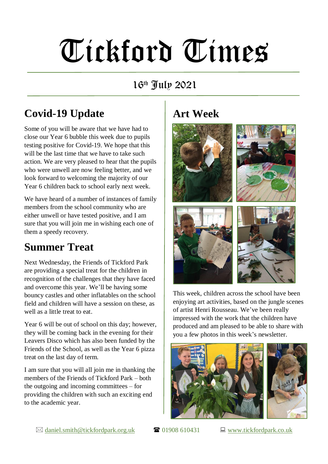# Tickford Times

16th July 2021

## **Covid-19 Update**

Some of you will be aware that we have had to close our Year 6 bubble this week due to pupils testing positive for Covid-19. We hope that this will be the last time that we have to take such action. We are very pleased to hear that the pupils who were unwell are now feeling better, and we look forward to welcoming the majority of our Year 6 children back to school early next week.

We have heard of a number of instances of family members from the school community who are either unwell or have tested positive, and I am sure that you will join me in wishing each one of them a speedy recovery.

#### **Summer Treat**

Next Wednesday, the Friends of Tickford Park are providing a special treat for the children in recognition of the challenges that they have faced and overcome this year. We'll be having some bouncy castles and other inflatables on the school field and children will have a session on these, as well as a little treat to eat.

Year 6 will be out of school on this day; however, they will be coming back in the evening for their Leavers Disco which has also been funded by the Friends of the School, as well as the Year 6 pizza treat on the last day of term.

I am sure that you will all join me in thanking the members of the Friends of Tickford Park – both the outgoing and incoming committees – for providing the children with such an exciting end to the academic year.

### **Art Week**



This week, children across the school have been enjoying art activities, based on the jungle scenes of artist Henri Rousseau. We've been really impressed with the work that the children have produced and am pleased to be able to share with you a few photos in this week's newsletter.



 $\boxtimes$  [daniel.smith@tickfordpark.org.uk](mailto:daniel.smith@tickfordpark.org.uk)  $\blacksquare$  01908 610431  $\blacksquare$  [www.tickfordpark.co.uk](http://www.tickfordpark.co.uk/)